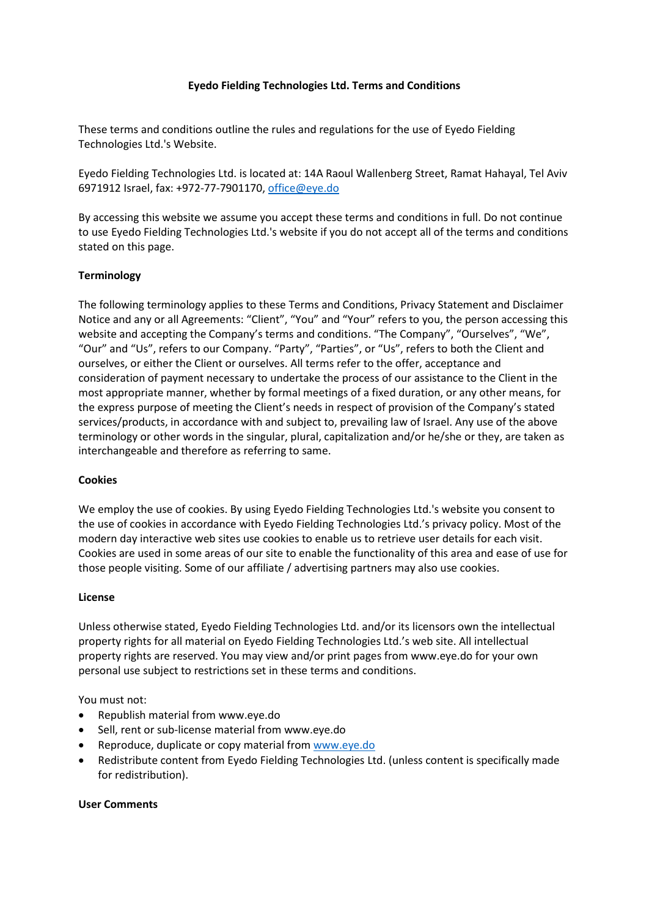# **Eyedo Fielding Technologies Ltd. Terms and Conditions**

These terms and conditions outline the rules and regulations for the use of Eyedo Fielding Technologies Ltd.'s Website.

Eyedo Fielding Technologies Ltd. is located at: 14A Raoul Wallenberg Street, Ramat Hahayal, Tel Aviv 6971912 Israel, fax: +972-77-7901170, office@eye.do

By accessing this website we assume you accept these terms and conditions in full. Do not continue to use Eyedo Fielding Technologies Ltd.'s website if you do not accept all of the terms and conditions stated on this page.

### **Terminology**

The following terminology applies to these Terms and Conditions, Privacy Statement and Disclaimer Notice and any or all Agreements: "Client", "You" and "Your" refers to you, the person accessing this website and accepting the Company's terms and conditions. "The Company", "Ourselves", "We", "Our" and "Us", refers to our Company. "Party", "Parties", or "Us", refers to both the Client and ourselves, or either the Client or ourselves. All terms refer to the offer, acceptance and consideration of payment necessary to undertake the process of our assistance to the Client in the most appropriate manner, whether by formal meetings of a fixed duration, or any other means, for the express purpose of meeting the Client's needs in respect of provision of the Company's stated services/products, in accordance with and subject to, prevailing law of Israel. Any use of the above terminology or other words in the singular, plural, capitalization and/or he/she or they, are taken as interchangeable and therefore as referring to same.

### **Cookies**

We employ the use of cookies. By using Eyedo Fielding Technologies Ltd.'s website you consent to the use of cookies in accordance with Eyedo Fielding Technologies Ltd.'s privacy policy. Most of the modern day interactive web sites use cookies to enable us to retrieve user details for each visit. Cookies are used in some areas of our site to enable the functionality of this area and ease of use for those people visiting. Some of our affiliate / advertising partners may also use cookies.

### **License**

Unless otherwise stated, Eyedo Fielding Technologies Ltd. and/or its licensors own the intellectual property rights for all material on Eyedo Fielding Technologies Ltd.'s web site. All intellectual property rights are reserved. You may view and/or print pages from www.eye.do for your own personal use subject to restrictions set in these terms and conditions.

You must not:

- Republish material from www.eye.do
- Sell, rent or sub-license material from www.eye.do
- Reproduce, duplicate or copy material fro[m www.eye.do](http://www.eye.do/)
- Redistribute content from Eyedo Fielding Technologies Ltd. (unless content is specifically made for redistribution).

### **User Comments**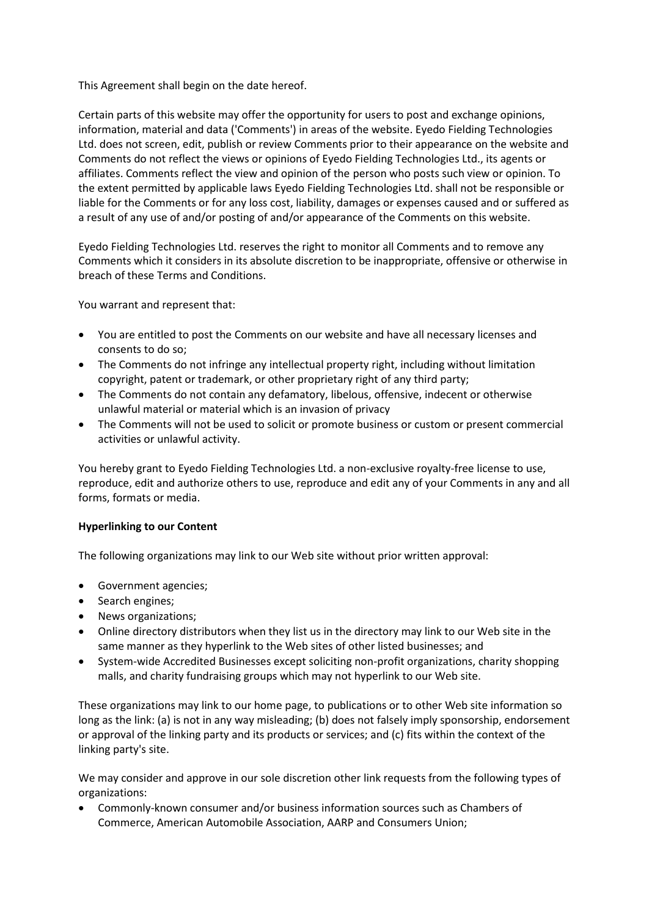This Agreement shall begin on the date hereof.

Certain parts of this website may offer the opportunity for users to post and exchange opinions, information, material and data ('Comments') in areas of the website. Eyedo Fielding Technologies Ltd. does not screen, edit, publish or review Comments prior to their appearance on the website and Comments do not reflect the views or opinions of Eyedo Fielding Technologies Ltd., its agents or affiliates. Comments reflect the view and opinion of the person who posts such view or opinion. To the extent permitted by applicable laws Eyedo Fielding Technologies Ltd. shall not be responsible or liable for the Comments or for any loss cost, liability, damages or expenses caused and or suffered as a result of any use of and/or posting of and/or appearance of the Comments on this website.

Eyedo Fielding Technologies Ltd. reserves the right to monitor all Comments and to remove any Comments which it considers in its absolute discretion to be inappropriate, offensive or otherwise in breach of these Terms and Conditions.

You warrant and represent that:

- You are entitled to post the Comments on our website and have all necessary licenses and consents to do so;
- The Comments do not infringe any intellectual property right, including without limitation copyright, patent or trademark, or other proprietary right of any third party;
- The Comments do not contain any defamatory, libelous, offensive, indecent or otherwise unlawful material or material which is an invasion of privacy
- The Comments will not be used to solicit or promote business or custom or present commercial activities or unlawful activity.

You hereby grant to Eyedo Fielding Technologies Ltd. a non-exclusive royalty-free license to use, reproduce, edit and authorize others to use, reproduce and edit any of your Comments in any and all forms, formats or media.

# **Hyperlinking to our Content**

The following organizations may link to our Web site without prior written approval:

- Government agencies;
- Search engines;
- News organizations;
- Online directory distributors when they list us in the directory may link to our Web site in the same manner as they hyperlink to the Web sites of other listed businesses; and
- System-wide Accredited Businesses except soliciting non-profit organizations, charity shopping malls, and charity fundraising groups which may not hyperlink to our Web site.

These organizations may link to our home page, to publications or to other Web site information so long as the link: (a) is not in any way misleading; (b) does not falsely imply sponsorship, endorsement or approval of the linking party and its products or services; and (c) fits within the context of the linking party's site.

We may consider and approve in our sole discretion other link requests from the following types of organizations:

 Commonly-known consumer and/or business information sources such as Chambers of Commerce, American Automobile Association, AARP and Consumers Union;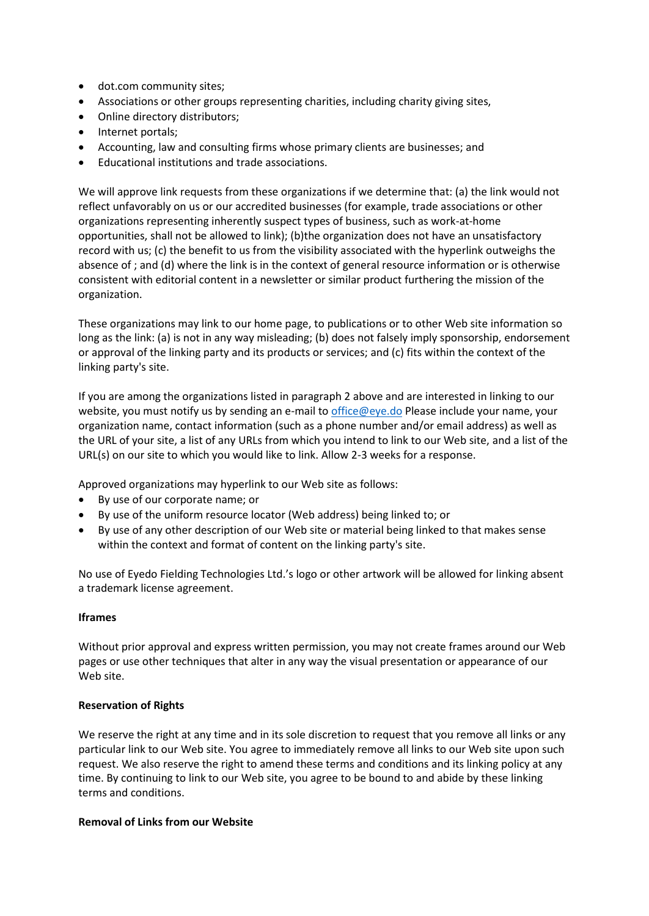- dot.com community sites;
- Associations or other groups representing charities, including charity giving sites,
- Online directory distributors;
- Internet portals;
- Accounting, law and consulting firms whose primary clients are businesses; and
- Educational institutions and trade associations.

We will approve link requests from these organizations if we determine that: (a) the link would not reflect unfavorably on us or our accredited businesses (for example, trade associations or other organizations representing inherently suspect types of business, such as work-at-home opportunities, shall not be allowed to link); (b)the organization does not have an unsatisfactory record with us; (c) the benefit to us from the visibility associated with the hyperlink outweighs the absence of ; and (d) where the link is in the context of general resource information or is otherwise consistent with editorial content in a newsletter or similar product furthering the mission of the organization.

These organizations may link to our home page, to publications or to other Web site information so long as the link: (a) is not in any way misleading; (b) does not falsely imply sponsorship, endorsement or approval of the linking party and its products or services; and (c) fits within the context of the linking party's site.

If you are among the organizations listed in paragraph 2 above and are interested in linking to our website, you must notify us by sending an e-mail to [office@eye.do](mailto:info@eye.do) Please include your name, your organization name, contact information (such as a phone number and/or email address) as well as the URL of your site, a list of any URLs from which you intend to link to our Web site, and a list of the URL(s) on our site to which you would like to link. Allow 2-3 weeks for a response.

Approved organizations may hyperlink to our Web site as follows:

- By use of our corporate name; or
- By use of the uniform resource locator (Web address) being linked to; or
- By use of any other description of our Web site or material being linked to that makes sense within the context and format of content on the linking party's site.

No use of Eyedo Fielding Technologies Ltd.'s logo or other artwork will be allowed for linking absent a trademark license agreement.

### **Iframes**

Without prior approval and express written permission, you may not create frames around our Web pages or use other techniques that alter in any way the visual presentation or appearance of our Web site.

### **Reservation of Rights**

We reserve the right at any time and in its sole discretion to request that you remove all links or any particular link to our Web site. You agree to immediately remove all links to our Web site upon such request. We also reserve the right to amend these terms and conditions and its linking policy at any time. By continuing to link to our Web site, you agree to be bound to and abide by these linking terms and conditions.

#### **Removal of Links from our Website**